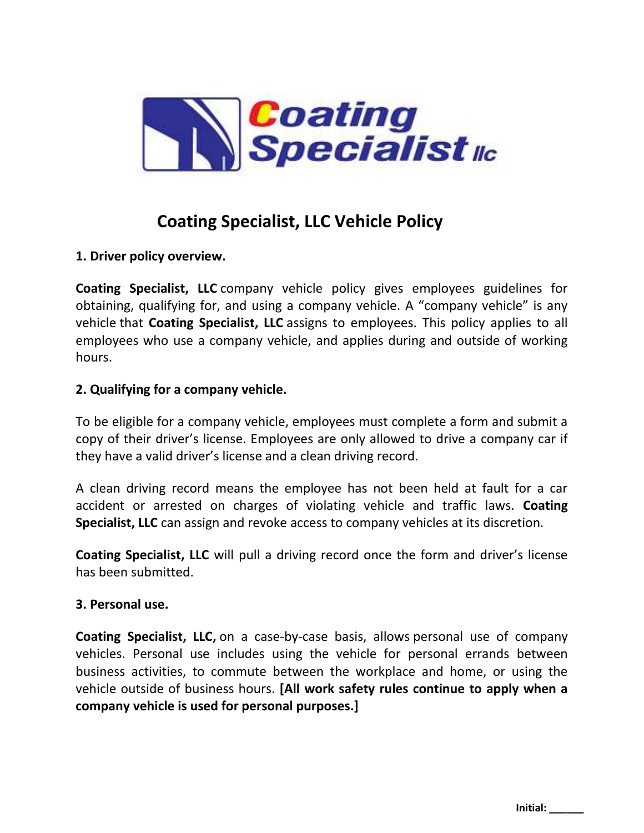

# **Coating Specialist, LLC Vehicle Policy**

# **1. Driver policy overview.**

**Coating Specialist, LLC** company vehicle policy gives employees guidelines for obtaining, qualifying for, and using a company vehicle. A "company vehicle" is any vehicle that **Coating Specialist, LLC** assigns to employees. This policy applies to all employees who use a company vehicle, and applies during and outside of working hours.

# **2. Qualifying for a company vehicle.**

To be eligible for a company vehicle, employees must complete a form and submit a copy of their driver's license. Employees are only allowed to drive a company car if they have a valid driver's license and a clean driving record.

A clean driving record means the employee has not been held at fault for a car accident or arrested on charges of violating vehicle and traffic laws. **Coating Specialist, LLC** can assign and revoke access to company vehicles at its discretion.

**Coating Specialist, LLC** will pull a driving record once the form and driver's license has been submitted.

## **3. Personal use.**

**Coating Specialist, LLC,** on a case-by-case basis, allows personal use of company vehicles. Personal use includes using the vehicle for personal errands between business activities, to commute between the workplace and home, or using the vehicle outside of business hours. **[All work safety rules continue to apply when a company vehicle is used for personal purposes.]**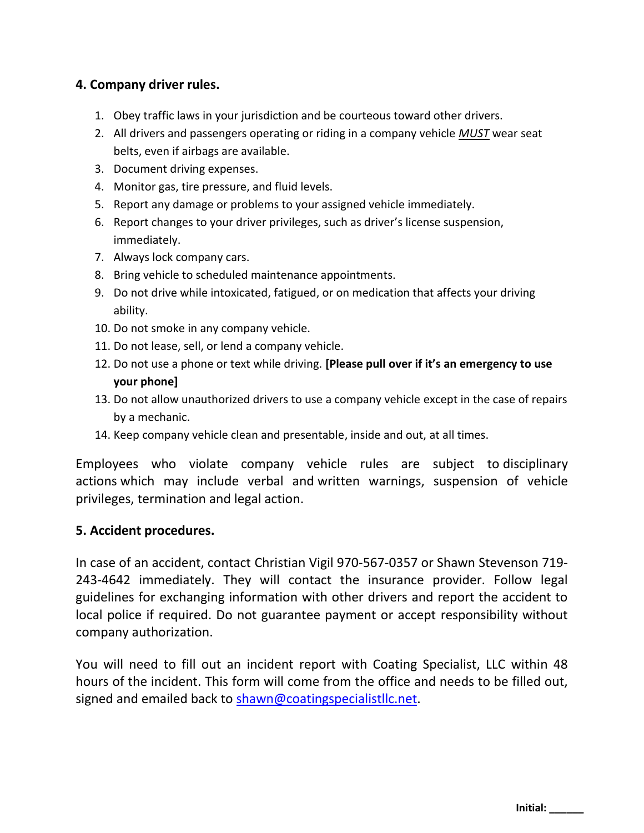## **4. Company driver rules.**

- 1. Obey traffic laws in your jurisdiction and be courteous toward other drivers.
- 2. All drivers and passengers operating or riding in a company vehicle *MUST* wear seat belts, even if airbags are available.
- 3. Document driving expenses.
- 4. Monitor gas, tire pressure, and fluid levels.
- 5. Report any damage or problems to your assigned vehicle immediately.
- 6. Report changes to your driver privileges, such as driver's license suspension, immediately.
- 7. Always lock company cars.
- 8. Bring vehicle to scheduled maintenance appointments.
- 9. Do not drive while intoxicated, fatigued, or on medication that affects your driving ability.
- 10. Do not smoke in any company vehicle.
- 11. Do not lease, sell, or lend a company vehicle.
- 12. Do not use a phone or text while driving. **[Please pull over if it's an emergency to use your phone]**
- 13. Do not allow unauthorized drivers to use a company vehicle except in the case of repairs by a mechanic.
- 14. Keep company vehicle clean and presentable, inside and out, at all times.

Employees who violate company vehicle rules are subject to [disciplinary](https://www.betterteam.com/disciplinary-action)  [actions](https://www.betterteam.com/disciplinary-action) which may include verbal and [written warnings,](https://www.betterteam.com/employee-write-up-form) suspension of vehicle privileges, [termination](https://www.betterteam.com/how-to-fire-someone) and legal action.

#### **5. Accident procedures.**

In case of an accident, contact Christian Vigil 970-567-0357 or Shawn Stevenson 719- 243-4642 immediately. They will contact the insurance provider. Follow legal guidelines for exchanging information with other drivers and report the accident to local police if required. Do not guarantee payment or accept responsibility without company authorization.

You will need to fill out an incident report with Coating Specialist, LLC within 48 hours of the incident. This form will come from the office and needs to be filled out, signed and emailed back to [shawn@coatingspecialistllc.net.](mailto:shawn@coatingspecialistllc.net)